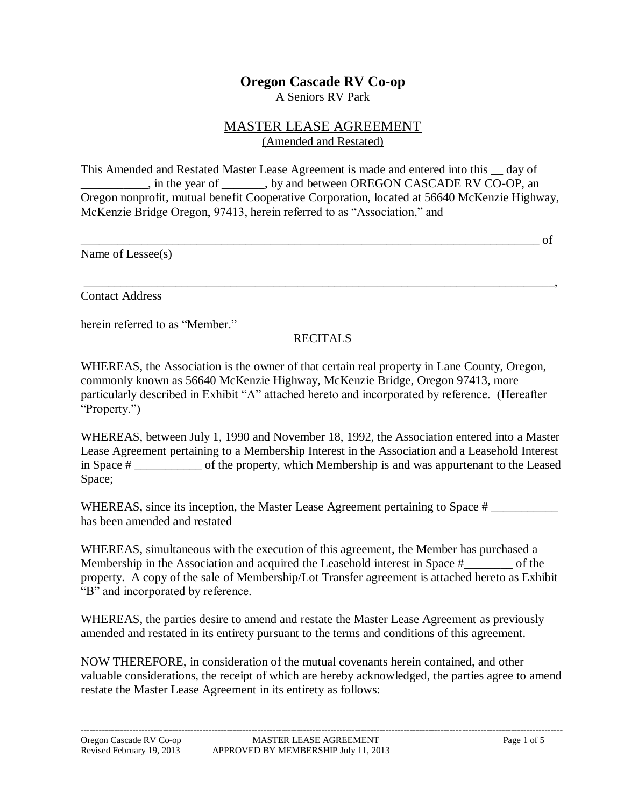## **Oregon Cascade RV Co-op**

A Seniors RV Park

## MASTER LEASE AGREEMENT (Amended and Restated)

This Amended and Restated Master Lease Agreement is made and entered into this \_\_ day of \_\_\_\_\_\_\_\_\_\_\_, in the year of \_\_\_\_\_\_\_, by and between OREGON CASCADE RV CO-OP, an Oregon nonprofit, mutual benefit Cooperative Corporation, located at 56640 McKenzie Highway, McKenzie Bridge Oregon, 97413, herein referred to as "Association," and

Name of Lessee(s)

\_\_\_\_\_\_\_\_\_\_\_\_\_\_\_\_\_\_\_\_\_\_\_\_\_\_\_\_\_\_\_\_\_\_\_\_\_\_\_\_\_\_\_\_\_\_\_\_\_\_\_\_\_\_\_\_\_\_\_\_\_\_\_\_\_\_\_\_\_\_\_\_\_\_\_ of

Contact Address

herein referred to as "Member."

## RECITALS

\_\_\_\_\_\_\_\_\_\_\_\_\_\_\_\_\_\_\_\_\_\_\_\_\_\_\_\_\_\_\_\_\_\_\_\_\_\_\_\_\_\_\_\_\_\_\_\_\_\_\_\_\_\_\_\_\_\_\_\_\_\_\_\_\_\_\_\_\_\_\_\_\_\_\_\_\_,

WHEREAS, the Association is the owner of that certain real property in Lane County, Oregon, commonly known as 56640 McKenzie Highway, McKenzie Bridge, Oregon 97413, more particularly described in Exhibit "A" attached hereto and incorporated by reference. (Hereafter "Property.")

WHEREAS, between July 1, 1990 and November 18, 1992, the Association entered into a Master Lease Agreement pertaining to a Membership Interest in the Association and a Leasehold Interest in Space # \_\_\_\_\_\_\_\_\_\_\_ of the property, which Membership is and was appurtenant to the Leased Space;

WHEREAS, since its inception, the Master Lease Agreement pertaining to Space # has been amended and restated

WHEREAS, simultaneous with the execution of this agreement, the Member has purchased a Membership in the Association and acquired the Leasehold interest in Space #\_\_\_\_\_\_\_\_ of the property. A copy of the sale of Membership/Lot Transfer agreement is attached hereto as Exhibit "B" and incorporated by reference.

WHEREAS, the parties desire to amend and restate the Master Lease Agreement as previously amended and restated in its entirety pursuant to the terms and conditions of this agreement.

NOW THEREFORE, in consideration of the mutual covenants herein contained, and other valuable considerations, the receipt of which are hereby acknowledged, the parties agree to amend restate the Master Lease Agreement in its entirety as follows: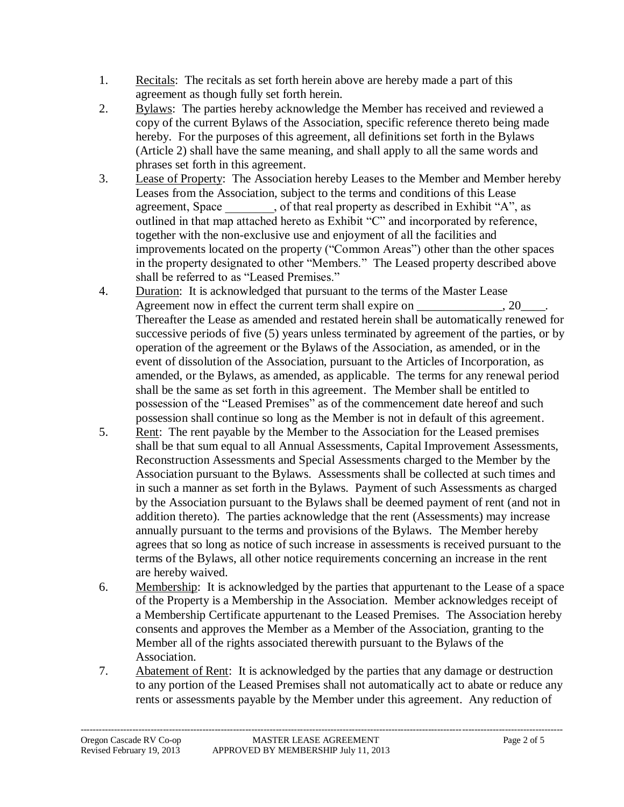- 1. Recitals: The recitals as set forth herein above are hereby made a part of this agreement as though fully set forth herein.
- 2. Bylaws: The parties hereby acknowledge the Member has received and reviewed a copy of the current Bylaws of the Association, specific reference thereto being made hereby. For the purposes of this agreement, all definitions set forth in the Bylaws (Article 2) shall have the same meaning, and shall apply to all the same words and phrases set forth in this agreement.
- 3. Lease of Property: The Association hereby Leases to the Member and Member hereby Leases from the Association, subject to the terms and conditions of this Lease agreement, Space , of that real property as described in Exhibit "A", as outlined in that map attached hereto as Exhibit "C" and incorporated by reference, together with the non-exclusive use and enjoyment of all the facilities and improvements located on the property ("Common Areas") other than the other spaces in the property designated to other "Members." The Leased property described above shall be referred to as "Leased Premises"
- 4. Duration: It is acknowledged that pursuant to the terms of the Master Lease Agreement now in effect the current term shall expire on  $\qquad \qquad$ , 20. Thereafter the Lease as amended and restated herein shall be automatically renewed for successive periods of five (5) years unless terminated by agreement of the parties, or by operation of the agreement or the Bylaws of the Association, as amended, or in the event of dissolution of the Association, pursuant to the Articles of Incorporation, as amended, or the Bylaws, as amended, as applicable. The terms for any renewal period shall be the same as set forth in this agreement. The Member shall be entitled to possession of the "Leased Premises" as of the commencement date hereof and such possession shall continue so long as the Member is not in default of this agreement.
- 5. Rent: The rent payable by the Member to the Association for the Leased premises shall be that sum equal to all Annual Assessments, Capital Improvement Assessments, Reconstruction Assessments and Special Assessments charged to the Member by the Association pursuant to the Bylaws. Assessments shall be collected at such times and in such a manner as set forth in the Bylaws. Payment of such Assessments as charged by the Association pursuant to the Bylaws shall be deemed payment of rent (and not in addition thereto). The parties acknowledge that the rent (Assessments) may increase annually pursuant to the terms and provisions of the Bylaws. The Member hereby agrees that so long as notice of such increase in assessments is received pursuant to the terms of the Bylaws, all other notice requirements concerning an increase in the rent are hereby waived.
- 6. Membership: It is acknowledged by the parties that appurtenant to the Lease of a space of the Property is a Membership in the Association. Member acknowledges receipt of a Membership Certificate appurtenant to the Leased Premises. The Association hereby consents and approves the Member as a Member of the Association, granting to the Member all of the rights associated therewith pursuant to the Bylaws of the Association.
- 7. Abatement of Rent: It is acknowledged by the parties that any damage or destruction to any portion of the Leased Premises shall not automatically act to abate or reduce any rents or assessments payable by the Member under this agreement. Any reduction of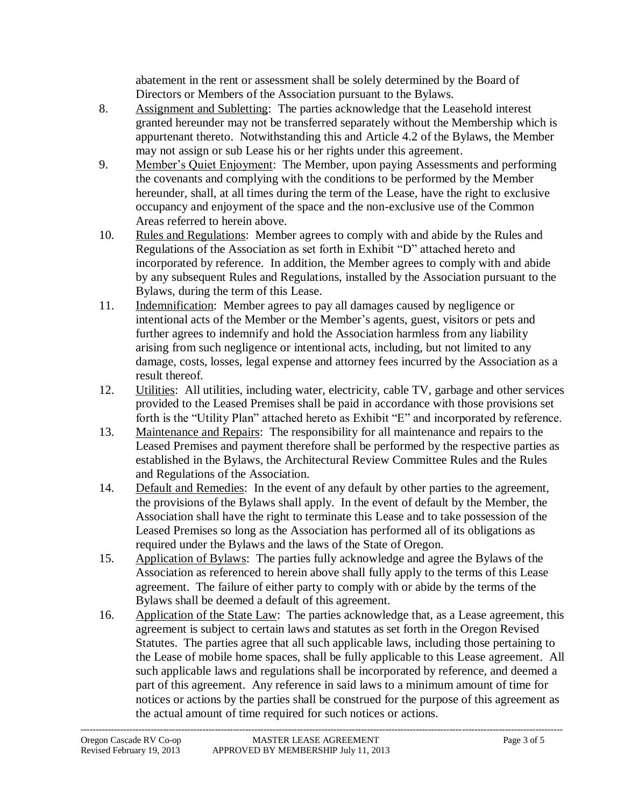abatement in the rent or assessment shall be solely determined by the Board of Directors or Members of the Association pursuant to the Bylaws.

- 8. Assignment and Subletting: The parties acknowledge that the Leasehold interest granted hereunder may not be transferred separately without the Membership which is appurtenant thereto. Notwithstanding this and Article 4.2 of the Bylaws, the Member may not assign or sub Lease his or her rights under this agreement.
- 9. Member's Quiet Enjoyment: The Member, upon paying Assessments and performing the covenants and complying with the conditions to be performed by the Member hereunder, shall, at all times during the term of the Lease, have the right to exclusive occupancy and enjoyment of the space and the non-exclusive use of the Common Areas referred to herein above.
- 10. Rules and Regulations: Member agrees to comply with and abide by the Rules and Regulations of the Association as set forth in Exhibit "D" attached hereto and incorporated by reference. In addition, the Member agrees to comply with and abide by any subsequent Rules and Regulations, installed by the Association pursuant to the Bylaws, during the term of this Lease.
- 11. Indemnification: Member agrees to pay all damages caused by negligence or intentional acts of the Member or the Member's agents, guest, visitors or pets and further agrees to indemnify and hold the Association harmless from any liability arising from such negligence or intentional acts, including, but not limited to any damage, costs, losses, legal expense and attorney fees incurred by the Association as a result thereof.
- 12. Utilities: All utilities, including water, electricity, cable TV, garbage and other services provided to the Leased Premises shall be paid in accordance with those provisions set forth is the "Utility Plan" attached hereto as Exhibit "E" and incorporated by reference.
- 13. Maintenance and Repairs: The responsibility for all maintenance and repairs to the Leased Premises and payment therefore shall be performed by the respective parties as established in the Bylaws, the Architectural Review Committee Rules and the Rules and Regulations of the Association.
- 14. Default and Remedies: In the event of any default by other parties to the agreement, the provisions of the Bylaws shall apply. In the event of default by the Member, the Association shall have the right to terminate this Lease and to take possession of the Leased Premises so long as the Association has performed all of its obligations as required under the Bylaws and the laws of the State of Oregon.
- 15. Application of Bylaws: The parties fully acknowledge and agree the Bylaws of the Association as referenced to herein above shall fully apply to the terms of this Lease agreement. The failure of either party to comply with or abide by the terms of the Bylaws shall be deemed a default of this agreement.
- 16. Application of the State Law: The parties acknowledge that, as a Lease agreement, this agreement is subject to certain laws and statutes as set forth in the Oregon Revised Statutes. The parties agree that all such applicable laws, including those pertaining to the Lease of mobile home spaces, shall be fully applicable to this Lease agreement. All such applicable laws and regulations shall be incorporated by reference, and deemed a part of this agreement. Any reference in said laws to a minimum amount of time for notices or actions by the parties shall be construed for the purpose of this agreement as the actual amount of time required for such notices or actions.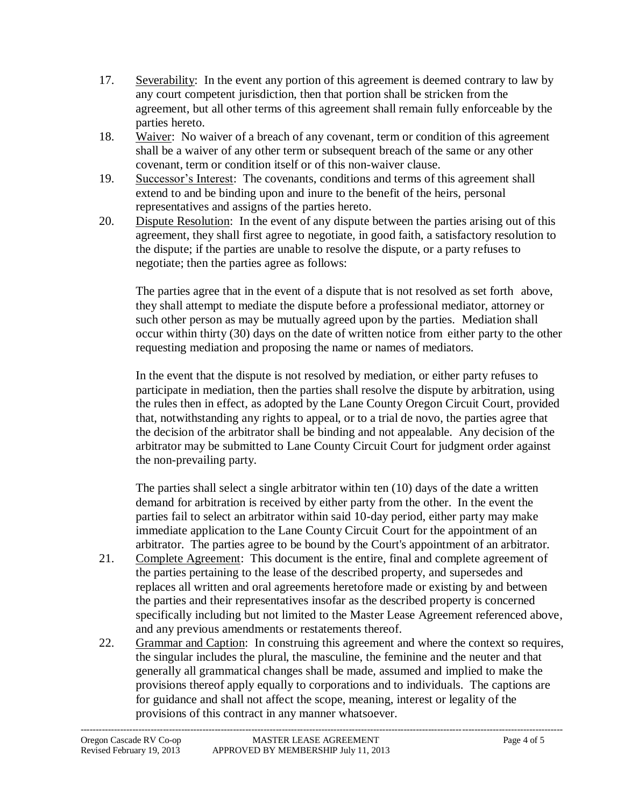- 17. Severability: In the event any portion of this agreement is deemed contrary to law by any court competent jurisdiction, then that portion shall be stricken from the agreement, but all other terms of this agreement shall remain fully enforceable by the parties hereto.
- 18. Waiver: No waiver of a breach of any covenant, term or condition of this agreement shall be a waiver of any other term or subsequent breach of the same or any other covenant, term or condition itself or of this non-waiver clause.
- 19. Successor's Interest: The covenants, conditions and terms of this agreement shall extend to and be binding upon and inure to the benefit of the heirs, personal representatives and assigns of the parties hereto.
- 20. Dispute Resolution: In the event of any dispute between the parties arising out of this agreement, they shall first agree to negotiate, in good faith, a satisfactory resolution to the dispute; if the parties are unable to resolve the dispute, or a party refuses to negotiate; then the parties agree as follows:

The parties agree that in the event of a dispute that is not resolved as set forth above, they shall attempt to mediate the dispute before a professional mediator, attorney or such other person as may be mutually agreed upon by the parties. Mediation shall occur within thirty (30) days on the date of written notice from either party to the other requesting mediation and proposing the name or names of mediators.

In the event that the dispute is not resolved by mediation, or either party refuses to participate in mediation, then the parties shall resolve the dispute by arbitration, using the rules then in effect, as adopted by the Lane County Oregon Circuit Court, provided that, notwithstanding any rights to appeal, or to a trial de novo, the parties agree that the decision of the arbitrator shall be binding and not appealable. Any decision of the arbitrator may be submitted to Lane County Circuit Court for judgment order against the non-prevailing party.

The parties shall select a single arbitrator within ten (10) days of the date a written demand for arbitration is received by either party from the other. In the event the parties fail to select an arbitrator within said 10-day period, either party may make immediate application to the Lane County Circuit Court for the appointment of an arbitrator. The parties agree to be bound by the Court's appointment of an arbitrator.

- 21. Complete Agreement: This document is the entire, final and complete agreement of the parties pertaining to the lease of the described property, and supersedes and replaces all written and oral agreements heretofore made or existing by and between the parties and their representatives insofar as the described property is concerned specifically including but not limited to the Master Lease Agreement referenced above, and any previous amendments or restatements thereof.
- 22. Grammar and Caption: In construing this agreement and where the context so requires, the singular includes the plural, the masculine, the feminine and the neuter and that generally all grammatical changes shall be made, assumed and implied to make the provisions thereof apply equally to corporations and to individuals. The captions are for guidance and shall not affect the scope, meaning, interest or legality of the provisions of this contract in any manner whatsoever.